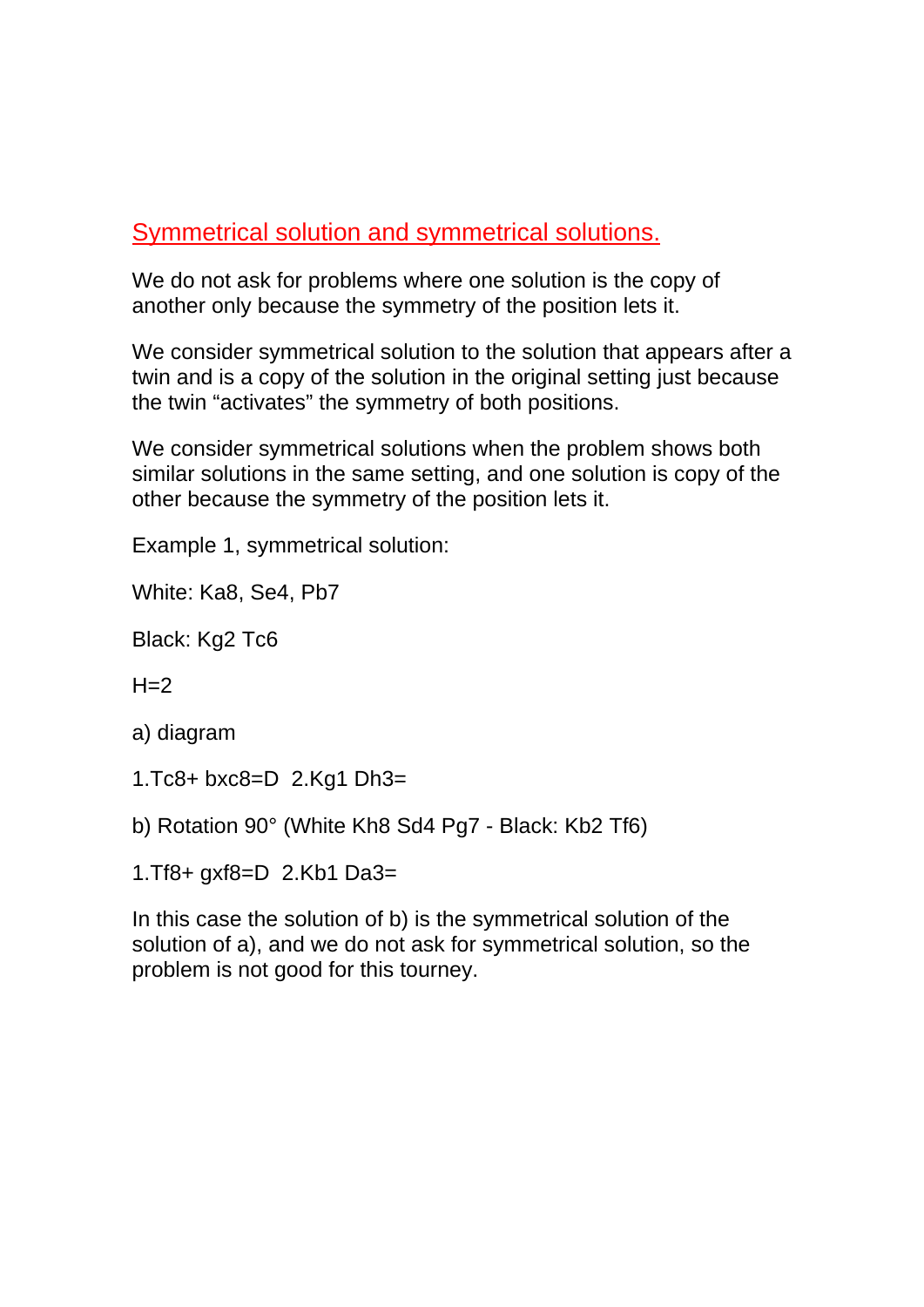## Symmetrical solution and symmetrical solutions.

We do not ask for problems where one solution is the copy of another only because the symmetry of the position lets it.

We consider symmetrical solution to the solution that appears after a twin and is a copy of the solution in the original setting just because the twin "activates" the symmetry of both positions.

We consider symmetrical solutions when the problem shows both similar solutions in the same setting, and one solution is copy of the other because the symmetry of the position lets it.

Example 1, symmetrical solution:

White: Ka8, Se4, Pb7

Black: Kg2 Tc6

 $H=2$ 

a) diagram

1.Tc8+ bxc8=D 2.Kg1 Dh3=

- b) Rotation 90° (White Kh8 Sd4 Pg7 Black: Kb2 Tf6)
- 1.Tf8+ gxf8=D 2.Kb1 Da3=

In this case the solution of b) is the symmetrical solution of the solution of a), and we do not ask for symmetrical solution, so the problem is not good for this tourney.